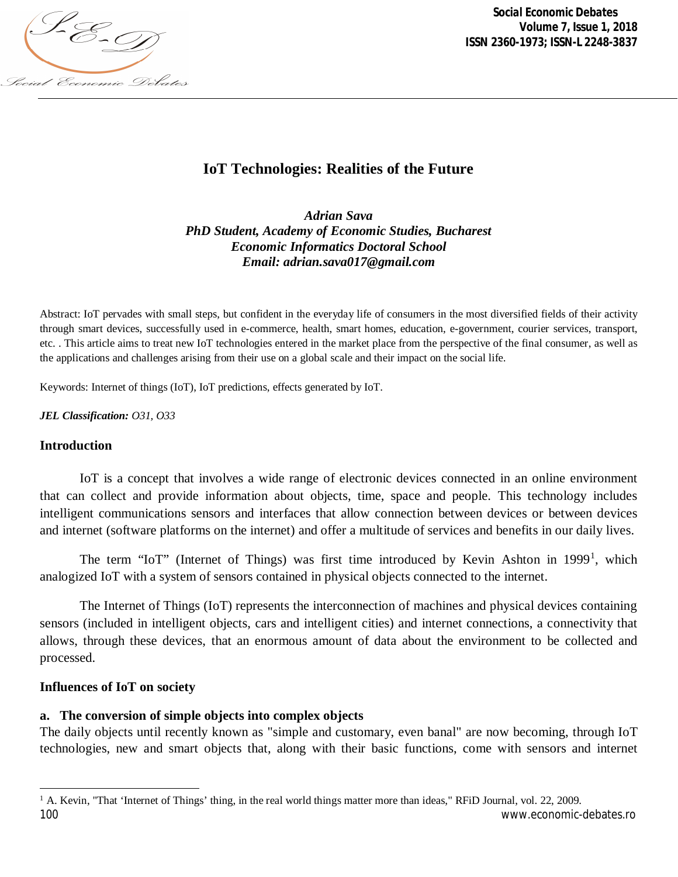

*Social Economic Debates Volume 7, Issue 1, 2018 ISSN 2360-1973; ISSN-L 2248-3837*

# **IoT Technologies: Realities of the Future**

*Adrian Sava PhD Student, Academy of Economic Studies, Bucharest Economic Informatics Doctoral School Email: [adrian.sava017@gmail.com](mailto:adrian.sava017@gmail.com)*

Abstract: IoT pervades with small steps, but confident in the everyday life of consumers in the most diversified fields of their activity through smart devices, successfully used in e-commerce, health, smart homes, education, e-government, courier services, transport, etc. . This article aims to treat new IoT technologies entered in the market place from the perspective of the final consumer, as well as the applications and challenges arising from their use on a global scale and their impact on the social life.

Keywords: Internet of things (IoT), IoT predictions, effects generated by IoT.

*JEL Classification: O31, O33*

#### **Introduction**

IoT is a concept that involves a wide range of electronic devices connected in an online environment that can collect and provide information about objects, time, space and people. This technology includes intelligent communications sensors and interfaces that allow connection between devices or between devices and internet (software platforms on the internet) and offer a multitude of services and benefits in our daily lives.

The term "IoT" (Internet of Things) was first time introduced by Kevin Ashton in 1999<sup>1</sup>, which analogized IoT with a system of sensors contained in physical objects connected to the internet.

The Internet of Things (IoT) represents the interconnection of machines and physical devices containing sensors (included in intelligent objects, cars and intelligent cities) and internet connections, a connectivity that allows, through these devices, that an enormous amount of data about the environment to be collected and processed.

#### **Influences of IoT on society**

 $\overline{\phantom{a}}$ 

### **a. The conversion of simple objects into complex objects**

The daily objects until recently known as "simple and customary, even banal" are now becoming, through IoT technologies, new and smart objects that, along with their basic functions, come with sensors and internet

<sup>100</sup> [www.economic-debates.ro](http://www.economic-debates.ro)  $1$  A. Kevin, "That 'Internet of Things' thing, in the real world things matter more than ideas," RFiD Journal, vol. 22, 2009.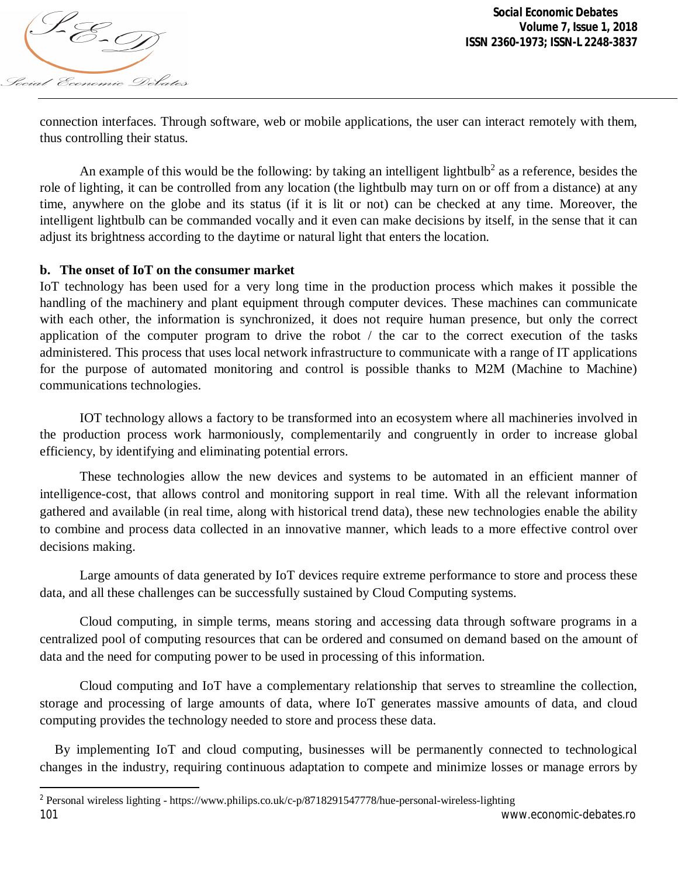

 $\overline{\phantom{a}}$ 

connection interfaces. Through software, web or mobile applications, the user can interact remotely with them, thus controlling their status.

An example of this would be the following: by taking an intelligent lightbulb<sup>2</sup> as a reference, besides the role of lighting, it can be controlled from any location (the lightbulb may turn on or off from a distance) at any time, anywhere on the globe and its status (if it is lit or not) can be checked at any time. Moreover, the intelligent lightbulb can be commanded vocally and it even can make decisions by itself, in the sense that it can adjust its brightness according to the daytime or natural light that enters the location.

# **b. The onset of IoT on the consumer market**

IoT technology has been used for a very long time in the production process which makes it possible the handling of the machinery and plant equipment through computer devices. These machines can communicate with each other, the information is synchronized, it does not require human presence, but only the correct application of the computer program to drive the robot / the car to the correct execution of the tasks administered. This process that uses local network infrastructure to communicate with a range of IT applications for the purpose of automated monitoring and control is possible thanks to M2M (Machine to Machine) communications technologies.

IOT technology allows a factory to be transformed into an ecosystem where all machineries involved in the production process work harmoniously, complementarily and congruently in order to increase global efficiency, by identifying and eliminating potential errors.

These technologies allow the new devices and systems to be automated in an efficient manner of intelligence-cost, that allows control and monitoring support in real time. With all the relevant information gathered and available (in real time, along with historical trend data), these new technologies enable the ability to combine and process data collected in an innovative manner, which leads to a more effective control over decisions making.

Large amounts of data generated by IoT devices require extreme performance to store and process these data, and all these challenges can be successfully sustained by Cloud Computing systems.

Cloud computing, in simple terms, means storing and accessing data through software programs in a centralized pool of computing resources that can be ordered and consumed on demand based on the amount of data and the need for computing power to be used in processing of this information.

Cloud computing and IoT have a complementary relationship that serves to streamline the collection, storage and processing of large amounts of data, where IoT generates massive amounts of data, and cloud computing provides the technology needed to store and process these data.

By implementing IoT and cloud computing, businesses will be permanently connected to technological changes in the industry, requiring continuous adaptation to compete and minimize losses or manage errors by

<sup>101</sup> [www.economic-debates.ro](http://www.economic-debates.ro) <sup>2</sup> Personal wireless lighting - <https://www.philips.co.uk/c-p/8718291547778/hue-personal-wireless-lighting>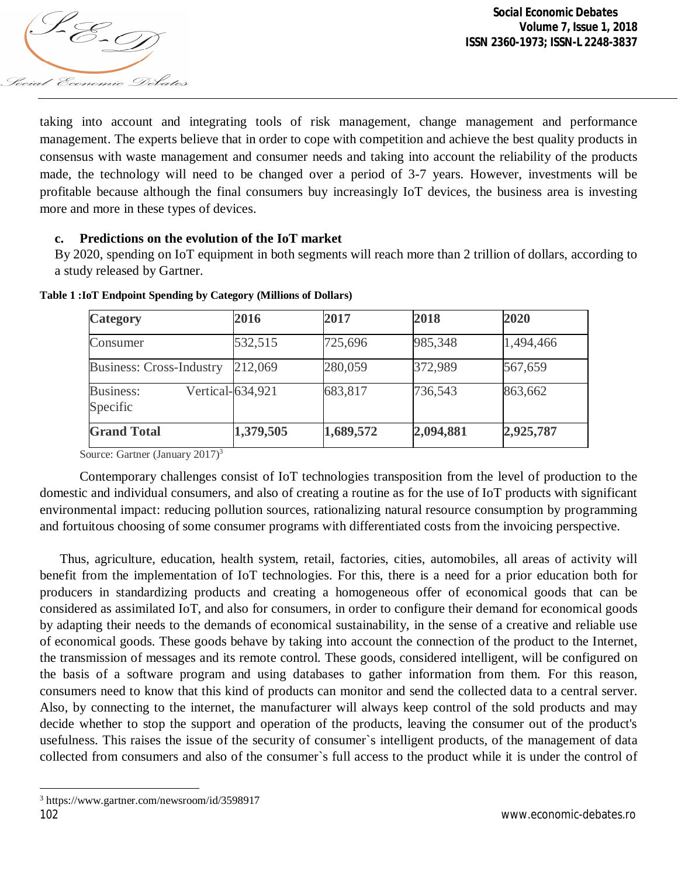

taking into account and integrating tools of risk management, change management and performance management. The experts believe that in order to cope with competition and achieve the best quality products in consensus with waste management and consumer needs and taking into account the reliability of the products made, the technology will need to be changed over a period of 3-7 years. However, investments will be profitable because although the final consumers buy increasingly IoT devices, the business area is investing more and more in these types of devices.

# **c. Predictions on the evolution of the IoT market**

By 2020, spending on IoT equipment in both segments will reach more than 2 trillion of dollars, according to a study released by Gartner.

| <b>Category</b>                 | 2016             | 2017      | 2018      | 2020      |
|---------------------------------|------------------|-----------|-----------|-----------|
| Consumer                        | 532,515          | 725,696   | 985,348   | 1,494,466 |
| <b>Business: Cross-Industry</b> | 212,069          | 280,059   | 372,989   | 567,659   |
| <b>Business:</b><br>Specific    | Vertical-634,921 | 683,817   | 736,543   | 863,662   |
| <b>Grand Total</b>              | 1,379,505        | 1,689,572 | 2,094,881 | 2,925,787 |

**Table 1 :IoT Endpoint Spending by Category (Millions of Dollars)**

Source: Gartner (January 2017)<sup>3</sup>

Contemporary challenges consist of IoT technologies transposition from the level of production to the domestic and individual consumers, and also of creating a routine as for the use of IoT products with significant environmental impact: reducing pollution sources, rationalizing natural resource consumption by programming and fortuitous choosing of some consumer programs with differentiated costs from the invoicing perspective.

Thus, agriculture, education, health system, retail, factories, cities, automobiles, all areas of activity will benefit from the implementation of IoT technologies. For this, there is a need for a prior education both for producers in standardizing products and creating a homogeneous offer of economical goods that can be considered as assimilated IoT, and also for consumers, in order to configure their demand for economical goods by adapting their needs to the demands of economical sustainability, in the sense of a creative and reliable use of economical goods. These goods behave by taking into account the connection of the product to the Internet, the transmission of messages and its remote control. These goods, considered intelligent, will be configured on the basis of a software program and using databases to gather information from them. For this reason, consumers need to know that this kind of products can monitor and send the collected data to a central server. Also, by connecting to the internet, the manufacturer will always keep control of the sold products and may decide whether to stop the support and operation of the products, leaving the consumer out of the product's usefulness. This raises the issue of the security of consumer`s intelligent products, of the management of data collected from consumers and also of the consumer`s full access to the product while it is under the control of

<sup>102</sup> [www.economic-debates.ro](http://www.economic-debates.ro)  $\overline{\phantom{a}}$ <sup>3</sup> <https://www.gartner.com/newsroom/id/3598917>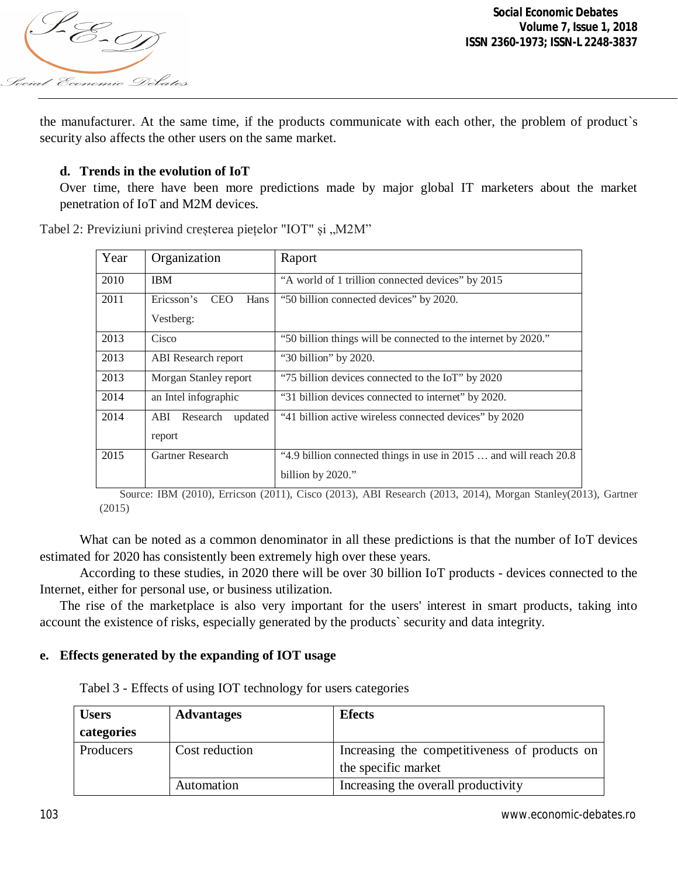

the manufacturer. At the same time, if the products communicate with each other, the problem of product`s security also affects the other users on the same market.

## **d. Trends in the evolution of IoT**

Over time, there have been more predictions made by major global IT marketers about the market penetration of IoT and M2M devices.

| Year | Organization                                  | Raport                                                            |  |
|------|-----------------------------------------------|-------------------------------------------------------------------|--|
| 2010 | <b>IBM</b>                                    | "A world of 1 trillion connected devices" by 2015                 |  |
| 2011 | Ericsson's<br><b>CEO</b><br>Hans<br>Vestberg: | "50 billion connected devices" by 2020.                           |  |
| 2013 | Cisco                                         | "50 billion things will be connected to the internet by 2020."    |  |
| 2013 | <b>ABI</b> Research report                    | "30 billion" by 2020.                                             |  |
| 2013 | Morgan Stanley report                         | "75 billion devices connected to the IoT" by 2020                 |  |
| 2014 | an Intel infographic                          | "31 billion devices connected to internet" by 2020.               |  |
| 2014 | Research<br>updated<br>ABI<br>report          | "41 billion active wireless connected devices" by 2020            |  |
| 2015 | Gartner Research                              | "4.9 billion connected things in use in 2015  and will reach 20.8 |  |
|      |                                               | billion by 2020."                                                 |  |

Tabel 2: Previziuni privind creșterea piețelor "IOT" și "M2M"

Source: IBM (2010), Erricson (2011), Cisco (2013), ABI Research (2013, 2014), Morgan Stanley(2013), Gartner (2015)

What can be noted as a common denominator in all these predictions is that the number of IoT devices estimated for 2020 has consistently been extremely high over these years.

According to these studies, in 2020 there will be over 30 billion IoT products - devices connected to the Internet, either for personal use, or business utilization.

The rise of the marketplace is also very important for the users' interest in smart products, taking into account the existence of risks, especially generated by the products` security and data integrity.

### **e. Effects generated by the expanding of IOT usage**

Tabel 3 - Effects of using IOT technology for users categories

| <b>Users</b> | <b>Advantages</b> | <b>Efects</b>                                 |  |  |
|--------------|-------------------|-----------------------------------------------|--|--|
| categories   |                   |                                               |  |  |
| Producers    | Cost reduction    | Increasing the competitiveness of products on |  |  |
|              |                   | the specific market                           |  |  |
|              | Automation        | Increasing the overall productivity           |  |  |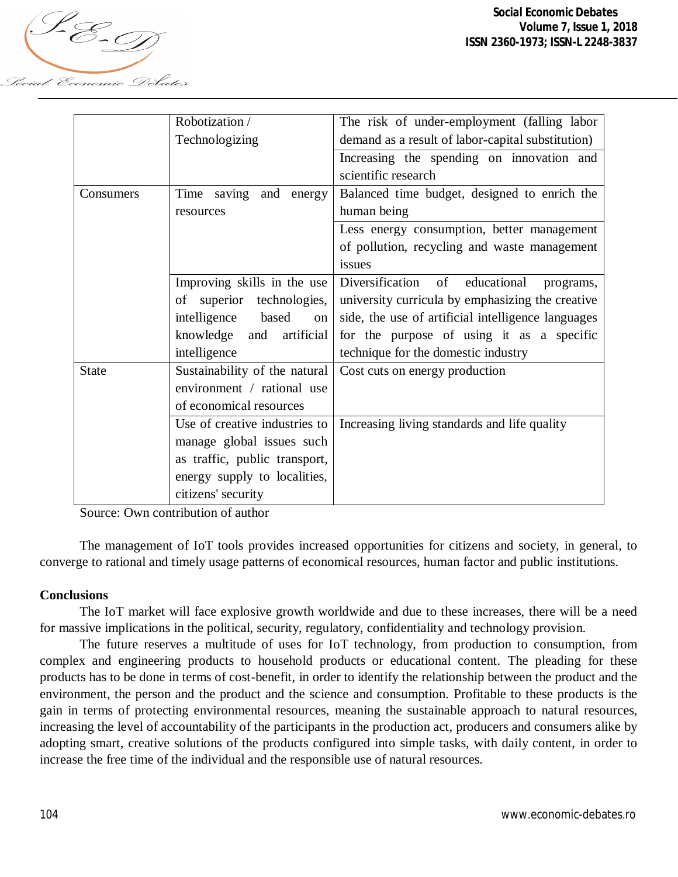

|              | Robotization /                | The risk of under-employment (falling labor        |
|--------------|-------------------------------|----------------------------------------------------|
|              | Technologizing                | demand as a result of labor-capital substitution)  |
|              |                               | Increasing the spending on innovation and          |
|              |                               | scientific research                                |
| Consumers    | Time saving and energy        | Balanced time budget, designed to enrich the       |
|              | resources                     | human being                                        |
|              |                               | Less energy consumption, better management         |
|              |                               | of pollution, recycling and waste management       |
|              |                               | issues                                             |
|              | Improving skills in the use   | Diversification of educational<br>programs,        |
|              | of superior technologies,     | university curricula by emphasizing the creative   |
|              | intelligence based<br>on      | side, the use of artificial intelligence languages |
|              | knowledge and<br>artificial   | for the purpose of using it as a specific          |
|              | intelligence                  | technique for the domestic industry                |
| <b>State</b> | Sustainability of the natural | Cost cuts on energy production                     |
|              | environment / rational use    |                                                    |
|              | of economical resources       |                                                    |
|              | Use of creative industries to | Increasing living standards and life quality       |
|              | manage global issues such     |                                                    |
|              | as traffic, public transport, |                                                    |
|              | energy supply to localities,  |                                                    |
|              | citizens' security            |                                                    |

Source: Own contribution of author

The management of IoT tools provides increased opportunities for citizens and society, in general, to converge to rational and timely usage patterns of economical resources, human factor and public institutions.

### **Conclusions**

The IoT market will face explosive growth worldwide and due to these increases, there will be a need for massive implications in the political, security, regulatory, confidentiality and technology provision.

The future reserves a multitude of uses for IoT technology, from production to consumption, from complex and engineering products to household products or educational content. The pleading for these products has to be done in terms of cost-benefit, in order to identify the relationship between the product and the environment, the person and the product and the science and consumption. Profitable to these products is the gain in terms of protecting environmental resources, meaning the sustainable approach to natural resources, increasing the level of accountability of the participants in the production act, producers and consumers alike by adopting smart, creative solutions of the products configured into simple tasks, with daily content, in order to increase the free time of the individual and the responsible use of natural resources.